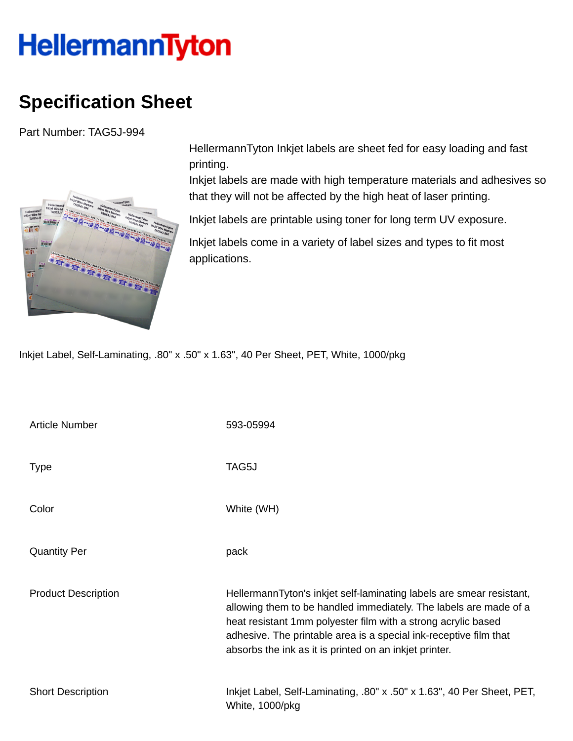## HellermannTyton

## **Specification Sheet**

Part Number: TAG5J-994



HellermannTyton Inkjet labels are sheet fed for easy loading and fast printing.

Inkjet labels are made with high temperature materials and adhesives so that they will not be affected by the high heat of laser printing.

Inkjet labels are printable using toner for long term UV exposure.

Inkjet labels come in a variety of label sizes and types to fit most applications.

Inkjet Label, Self-Laminating, .80" x .50" x 1.63", 40 Per Sheet, PET, White, 1000/pkg

| <b>Article Number</b>      | 593-05994                                                                                                                                                                                                                                                                                                                                 |
|----------------------------|-------------------------------------------------------------------------------------------------------------------------------------------------------------------------------------------------------------------------------------------------------------------------------------------------------------------------------------------|
| <b>Type</b>                | TAG5J                                                                                                                                                                                                                                                                                                                                     |
| Color                      | White (WH)                                                                                                                                                                                                                                                                                                                                |
| <b>Quantity Per</b>        | pack                                                                                                                                                                                                                                                                                                                                      |
| <b>Product Description</b> | HellermannTyton's inkjet self-laminating labels are smear resistant,<br>allowing them to be handled immediately. The labels are made of a<br>heat resistant 1mm polyester film with a strong acrylic based<br>adhesive. The printable area is a special ink-receptive film that<br>absorbs the ink as it is printed on an inkjet printer. |
| <b>Short Description</b>   | Inkjet Label, Self-Laminating, .80" x .50" x 1.63", 40 Per Sheet, PET,<br>White, 1000/pkg                                                                                                                                                                                                                                                 |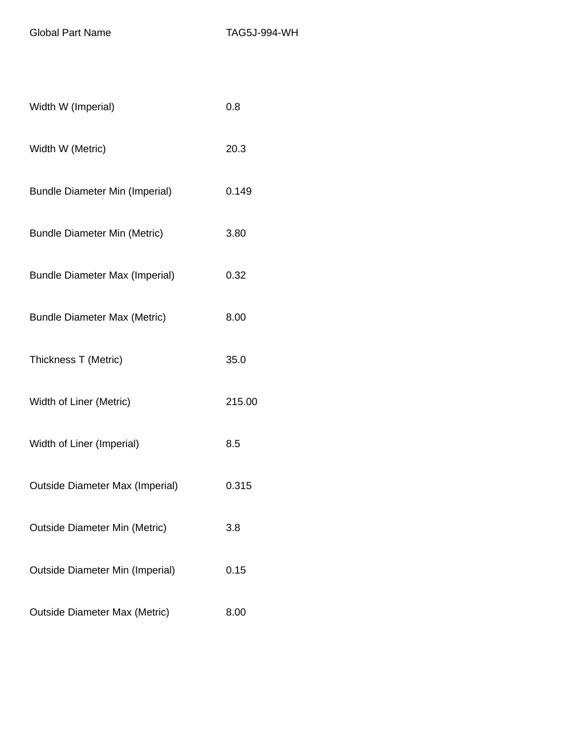Global Part Name TAG5J-994-WH

| Width W (Imperial)                     | 0.8    |
|----------------------------------------|--------|
| Width W (Metric)                       | 20.3   |
| <b>Bundle Diameter Min (Imperial)</b>  | 0.149  |
| <b>Bundle Diameter Min (Metric)</b>    | 3.80   |
| <b>Bundle Diameter Max (Imperial)</b>  | 0.32   |
| <b>Bundle Diameter Max (Metric)</b>    | 8.00   |
| Thickness T (Metric)                   | 35.0   |
| Width of Liner (Metric)                | 215.00 |
| Width of Liner (Imperial)              | 8.5    |
| <b>Outside Diameter Max (Imperial)</b> | 0.315  |
| <b>Outside Diameter Min (Metric)</b>   | 3.8    |
| <b>Outside Diameter Min (Imperial)</b> | 0.15   |
| <b>Outside Diameter Max (Metric)</b>   | 8.00   |